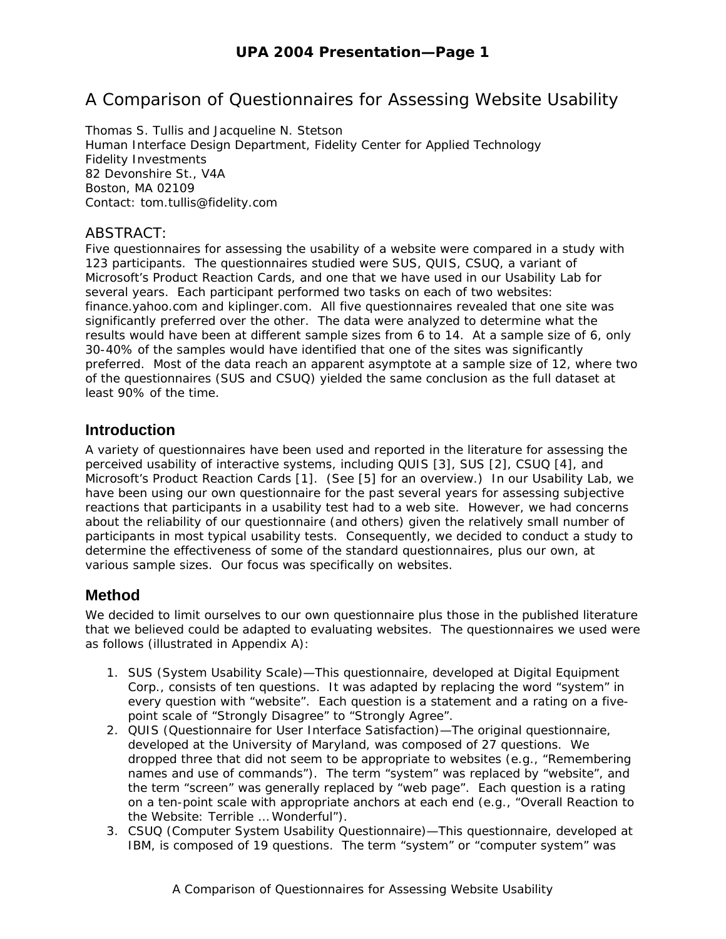# A Comparison of Questionnaires for Assessing Website Usability

Thomas S. Tullis and Jacqueline N. Stetson Human Interface Design Department, Fidelity Center for Applied Technology Fidelity Investments 82 Devonshire St., V4A Boston, MA 02109 Contact: tom.tullis@fidelity.com

#### ABSTRACT:

Five questionnaires for assessing the usability of a website were compared in a study with 123 participants. The questionnaires studied were SUS, QUIS, CSUQ, a variant of Microsoft's Product Reaction Cards, and one that we have used in our Usability Lab for several years. Each participant performed two tasks on each of two websites: finance.yahoo.com and kiplinger.com. All five questionnaires revealed that one site was significantly preferred over the other. The data were analyzed to determine what the results would have been at different sample sizes from 6 to 14. At a sample size of 6, only 30-40% of the samples would have identified that one of the sites was significantly preferred. Most of the data reach an apparent asymptote at a sample size of 12, where two of the questionnaires (SUS and CSUQ) yielded the same conclusion as the full dataset at least 90% of the time.

#### **Introduction**

A variety of questionnaires have been used and reported in the literature for assessing the perceived usability of interactive systems, including QUIS [3], SUS [2], CSUQ [4], and Microsoft's Product Reaction Cards [1]. (See [5] for an overview.) In our Usability Lab, we have been using our own questionnaire for the past several years for assessing subjective reactions that participants in a usability test had to a web site. However, we had concerns about the reliability of our questionnaire (and others) given the relatively small number of participants in most typical usability tests. Consequently, we decided to conduct a study to determine the effectiveness of some of the standard questionnaires, plus our own, at various sample sizes. Our focus was specifically on websites.

#### **Method**

We decided to limit ourselves to our own questionnaire plus those in the published literature that we believed could be adapted to evaluating websites. The questionnaires we used were as follows (illustrated in Appendix A):

- 1. SUS (System Usability Scale)—This questionnaire, developed at Digital Equipment Corp., consists of ten questions. It was adapted by replacing the word "system" in every question with "website". Each question is a statement and a rating on a fivepoint scale of "Strongly Disagree" to "Strongly Agree".
- 2. QUIS (Questionnaire for User Interface Satisfaction)—The original questionnaire, developed at the University of Maryland, was composed of 27 questions. We dropped three that did not seem to be appropriate to websites (e.g., "Remembering names and use of commands"). The term "system" was replaced by "website", and the term "screen" was generally replaced by "web page". Each question is a rating on a ten-point scale with appropriate anchors at each end (e.g., "Overall Reaction to the Website: Terrible … Wonderful").
- 3. CSUQ (Computer System Usability Questionnaire)—This questionnaire, developed at IBM, is composed of 19 questions. The term "system" or "computer system" was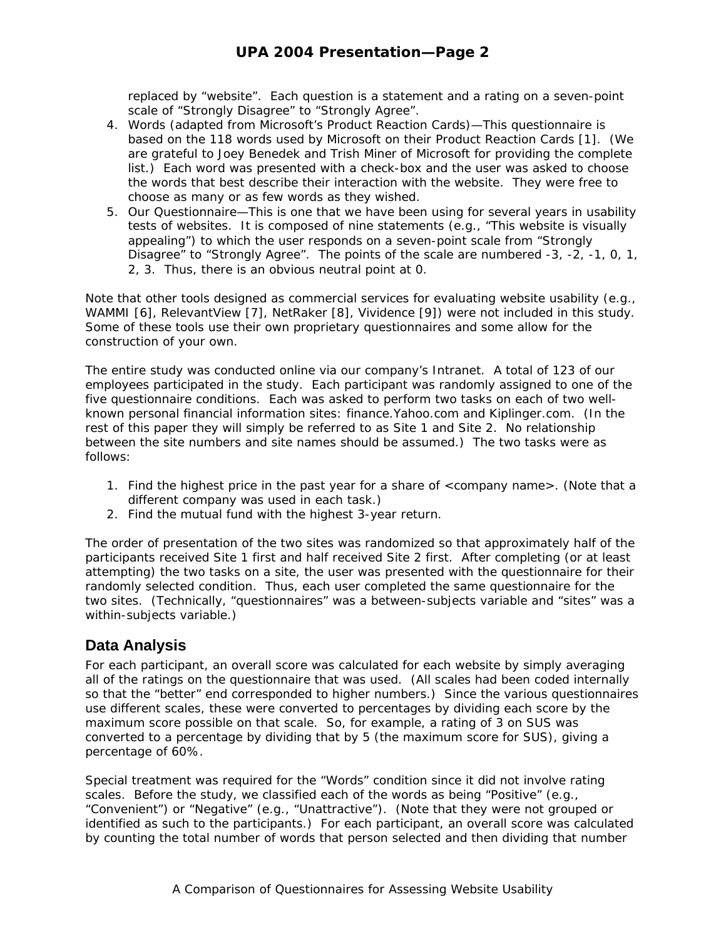replaced by "website". Each question is a statement and a rating on a seven-point scale of "Strongly Disagree" to "Strongly Agree".

- 4. Words (adapted from Microsoft's Product Reaction Cards)—This questionnaire is based on the 118 words used by Microsoft on their Product Reaction Cards [1]. (We are grateful to Joey Benedek and Trish Miner of Microsoft for providing the complete list.) Each word was presented with a check-box and the user was asked to choose the words that best describe their interaction with the website. They were free to choose as many or as few words as they wished.
- 5. Our Questionnaire—This is one that we have been using for several years in usability tests of websites. It is composed of nine statements (e.g., "This website is visually appealing") to which the user responds on a seven-point scale from "Strongly Disagree" to "Strongly Agree". The points of the scale are numbered -3, -2, -1, 0, 1, 2, 3. Thus, there is an obvious neutral point at 0.

Note that other tools designed as commercial services for evaluating website usability (e.g., WAMMI [6], RelevantView [7], NetRaker [8], Vividence [9]) were not included in this study. Some of these tools use their own proprietary questionnaires and some allow for the construction of your own.

The entire study was conducted online via our company's Intranet. A total of 123 of our employees participated in the study. Each participant was randomly assigned to one of the five questionnaire conditions. Each was asked to perform two tasks on each of two wellknown personal financial information sites: finance.Yahoo.com and Kiplinger.com. (In the rest of this paper they will simply be referred to as Site 1 and Site 2. No relationship between the site numbers and site names should be assumed.) The two tasks were as follows:

- 1. Find the highest price in the past year for a share of <company name>. (Note that a different company was used in each task.)
- 2. Find the mutual fund with the highest 3-year return.

The order of presentation of the two sites was randomized so that approximately half of the participants received Site 1 first and half received Site 2 first. After completing (or at least attempting) the two tasks on a site, the user was presented with the questionnaire for their randomly selected condition. Thus, each user completed the same questionnaire for the two sites. (Technically, "questionnaires" was a between-subjects variable and "sites" was a within-subjects variable.)

#### **Data Analysis**

For each participant, an overall score was calculated for each website by simply averaging all of the ratings on the questionnaire that was used. (All scales had been coded internally so that the "better" end corresponded to higher numbers.) Since the various questionnaires use different scales, these were converted to percentages by dividing each score by the maximum score possible on that scale. So, for example, a rating of 3 on SUS was converted to a percentage by dividing that by 5 (the maximum score for SUS), giving a percentage of 60%.

Special treatment was required for the "Words" condition since it did not involve rating scales. Before the study, we classified each of the words as being "Positive" (e.g., "Convenient") or "Negative" (e.g., "Unattractive"). (Note that they were not grouped or identified as such to the participants.) For each participant, an overall score was calculated by counting the total number of words that person selected and then dividing that number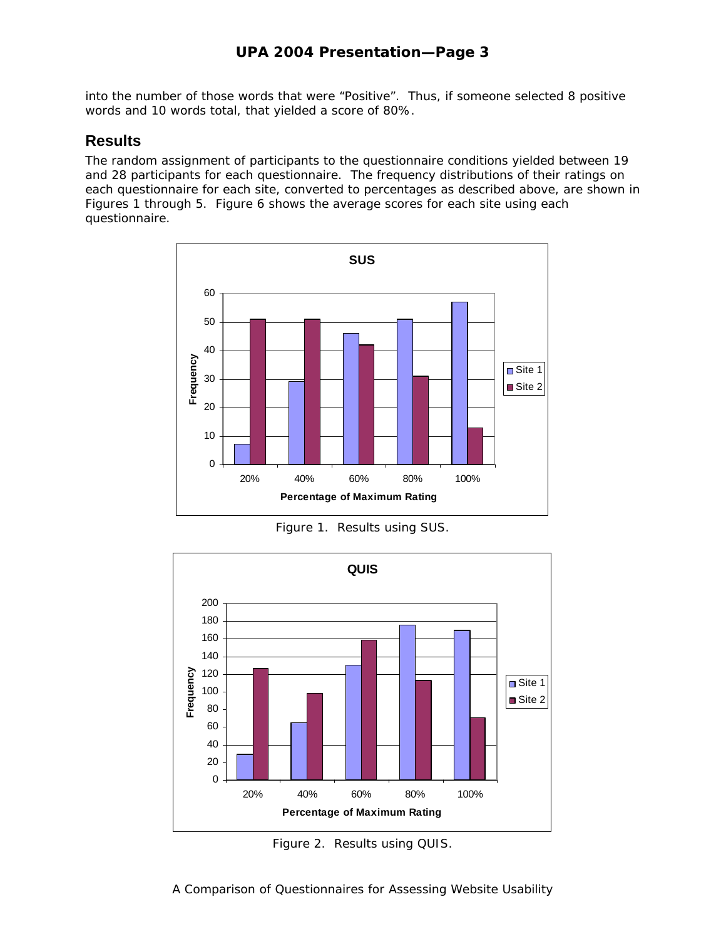into the number of those words that were "Positive". Thus, if someone selected 8 positive words and 10 words total, that yielded a score of 80%.

#### **Results**

The random assignment of participants to the questionnaire conditions yielded between 19 and 28 participants for each questionnaire. The frequency distributions of their ratings on each questionnaire for each site, converted to percentages as described above, are shown in Figures 1 through 5. Figure 6 shows the average scores for each site using each questionnaire.



Figure 1. Results using SUS.



Figure 2. Results using QUIS.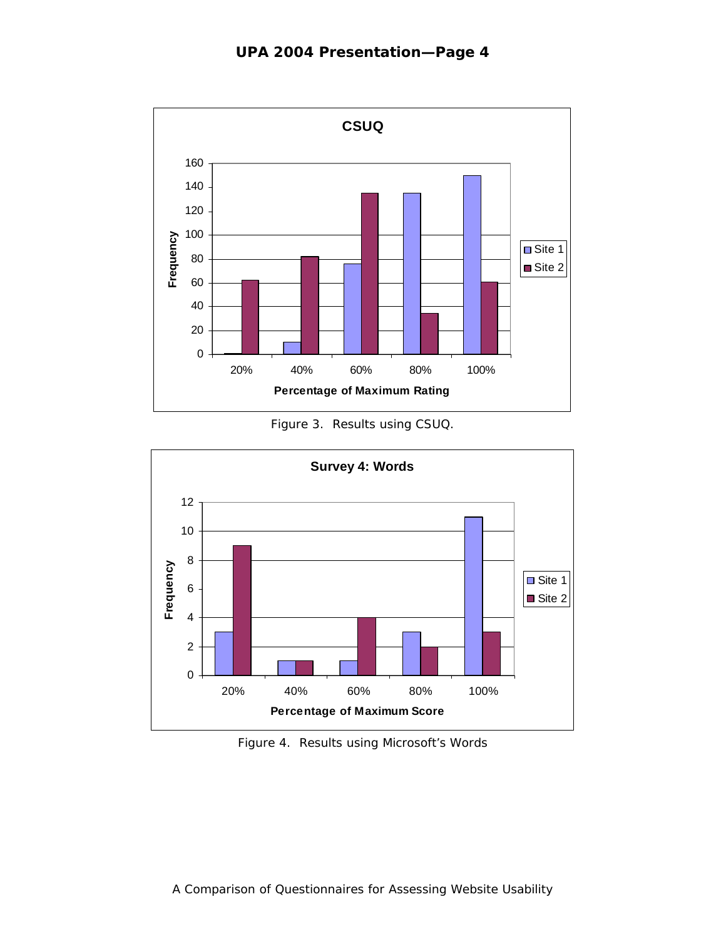

Figure 3. Results using CSUQ.



Figure 4. Results using Microsoft's Words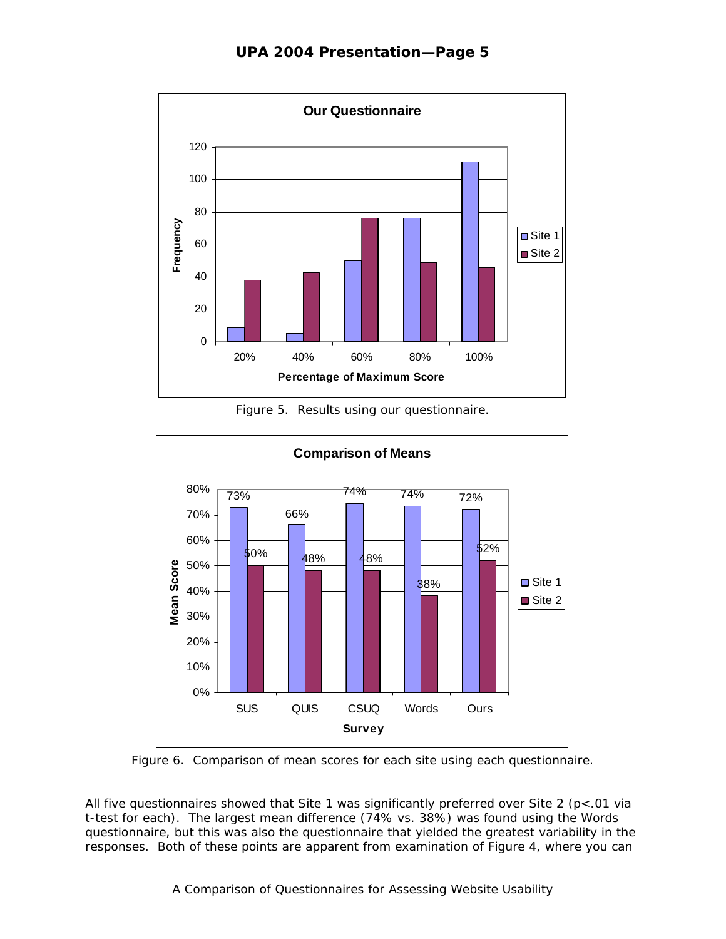

Figure 5. Results using our questionnaire.



Figure 6. Comparison of mean scores for each site using each questionnaire.

All five questionnaires showed that Site 1 was significantly preferred over Site 2 (*p*<.01 via t-test for each). The largest mean difference (74% vs. 38%) was found using the Words questionnaire, but this was also the questionnaire that yielded the greatest variability in the responses. Both of these points are apparent from examination of Figure 4, where you can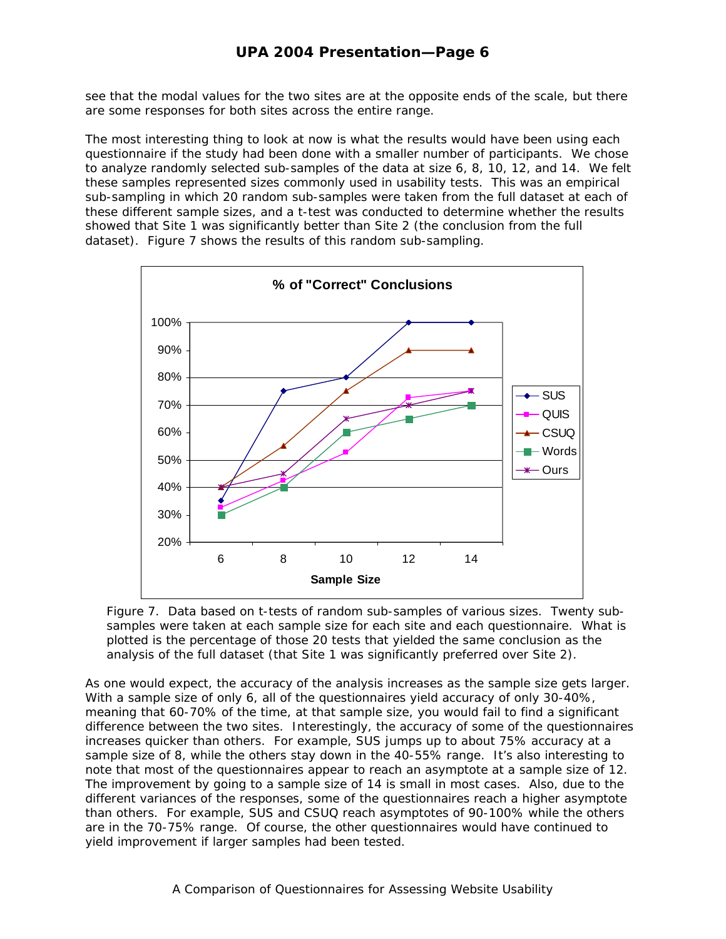see that the modal values for the two sites are at the opposite ends of the scale, but there are some responses for both sites across the entire range.

The most interesting thing to look at now is what the results would have been using each questionnaire if the study had been done with a smaller number of participants. We chose to analyze randomly selected sub-samples of the data at size 6, 8, 10, 12, and 14. We felt these samples represented sizes commonly used in usability tests. This was an empirical sub-sampling in which 20 random sub-samples were taken from the full dataset at each of these different sample sizes, and a t-test was conducted to determine whether the results showed that Site 1 was significantly better than Site 2 (the conclusion from the full dataset). Figure 7 shows the results of this random sub-sampling.



Figure 7. Data based on t-tests of random sub-samples of various sizes. Twenty subsamples were taken at each sample size for each site and each questionnaire. What is plotted is the percentage of those 20 tests that yielded the same conclusion as the analysis of the full dataset (that Site 1 was significantly preferred over Site 2).

As one would expect, the accuracy of the analysis increases as the sample size gets larger. With a sample size of only 6, all of the questionnaires yield accuracy of only 30-40%, meaning that 60-70% of the time, at that sample size, you would fail to find a significant difference between the two sites. Interestingly, the accuracy of some of the questionnaires increases quicker than others. For example, SUS jumps up to about 75% accuracy at a sample size of 8, while the others stay down in the 40-55% range. It's also interesting to note that most of the questionnaires appear to reach an asymptote at a sample size of 12. The improvement by going to a sample size of 14 is small in most cases. Also, due to the different variances of the responses, some of the questionnaires reach a higher asymptote than others. For example, SUS and CSUQ reach asymptotes of 90-100% while the others are in the 70-75% range. Of course, the other questionnaires would have continued to yield improvement if larger samples had been tested.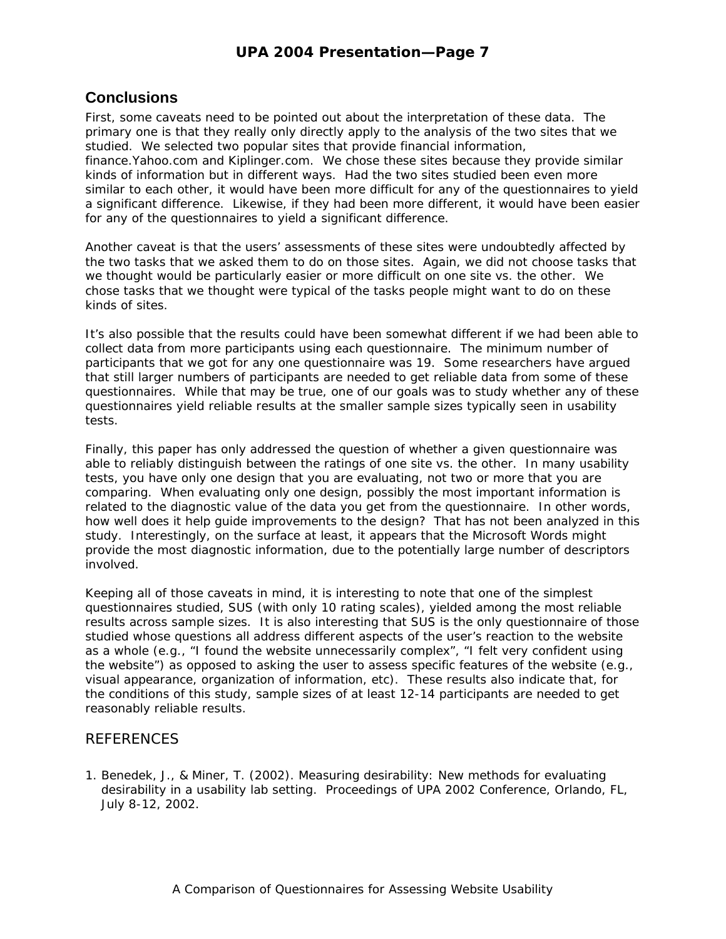### **Conclusions**

First, some caveats need to be pointed out about the interpretation of these data. The primary one is that they really only directly apply to the analysis of the two sites that we studied. We selected two popular sites that provide financial information, finance.Yahoo.com and Kiplinger.com. We chose these sites because they provide similar kinds of information but in different ways. Had the two sites studied been even more similar to each other, it would have been more difficult for any of the questionnaires to yield a significant difference. Likewise, if they had been more different, it would have been easier for any of the questionnaires to yield a significant difference.

Another caveat is that the users' assessments of these sites were undoubtedly affected by the two tasks that we asked them to do on those sites. Again, we did not choose tasks that we thought would be particularly easier or more difficult on one site vs. the other. We chose tasks that we thought were typical of the tasks people might want to do on these kinds of sites.

It's also possible that the results could have been somewhat different if we had been able to collect data from more participants using each questionnaire. The minimum number of participants that we got for any one questionnaire was 19. Some researchers have argued that still larger numbers of participants are needed to get reliable data from some of these questionnaires. While that may be true, one of our goals was to study whether any of these questionnaires yield reliable results at the smaller sample sizes typically seen in usability tests.

Finally, this paper has only addressed the question of whether a given questionnaire was able to reliably distinguish between the ratings of one site vs. the other. In many usability tests, you have only one design that you are evaluating, not two or more that you are comparing. When evaluating only one design, possibly the most important information is related to the diagnostic value of the data you get from the questionnaire. In other words, how well does it help guide improvements to the design? That has not been analyzed in this study. Interestingly, on the surface at least, it appears that the Microsoft Words might provide the most diagnostic information, due to the potentially large number of descriptors involved.

Keeping all of those caveats in mind, it is interesting to note that one of the simplest questionnaires studied, SUS (with only 10 rating scales), yielded among the most reliable results across sample sizes. It is also interesting that SUS is the only questionnaire of those studied whose questions all address different aspects of the user's reaction to the website as a whole (e.g., "I found the website unnecessarily complex", "I felt very confident using the website") as opposed to asking the user to assess specific features of the website (e.g., visual appearance, organization of information, etc). These results also indicate that, for the conditions of this study, sample sizes of at least 12-14 participants are needed to get reasonably reliable results.

#### REFERENCES

1. Benedek, J., & Miner, T. (2002). Measuring desirability: New methods for evaluating desirability in a usability lab setting. Proceedings of UPA 2002 Conference, Orlando, FL, July 8-12, 2002.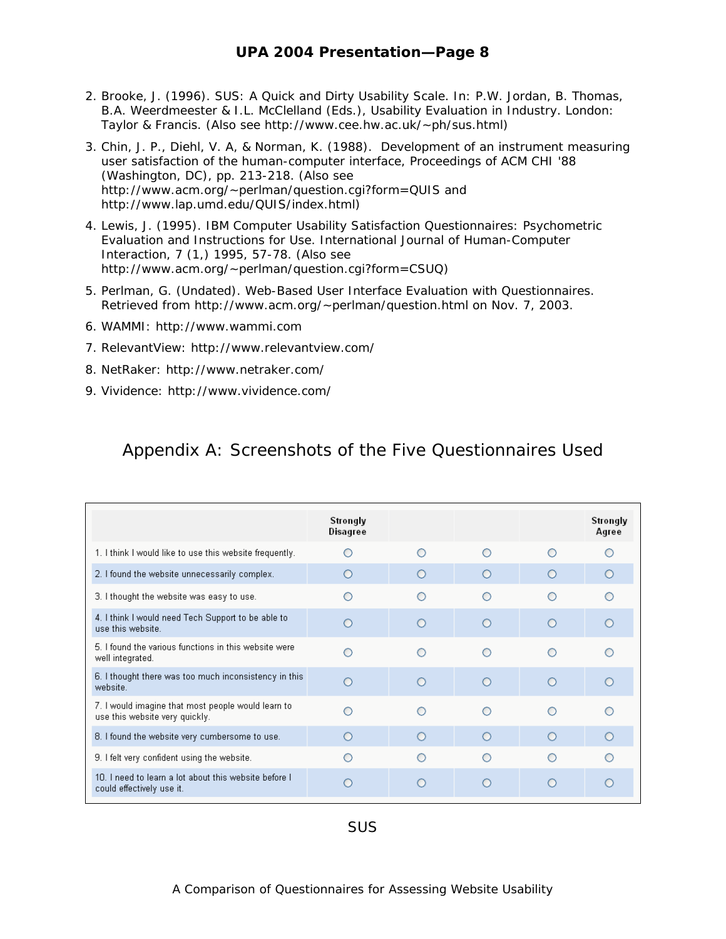- 2. Brooke, J. (1996). SUS: A Quick and Dirty Usability Scale. In: P.W. Jordan, B. Thomas, B.A. Weerdmeester & I.L. McClelland (Eds.), *Usability Evaluation in Industry*. London: Taylor & Francis. (Also see http://www.cee.hw.ac.uk/~ph/sus.html)
- 3. Chin, J. P., Diehl, V. A, & Norman, K. (1988). Development of an instrument measuring user satisfaction of the human-computer interface, Proceedings of ACM CHI '88 (Washington, DC), pp. 213-218. (Also see http://www.acm.org/~perlman/question.cgi?form=QUIS and http://www.lap.umd.edu/QUIS/index.html)
- 4. Lewis, J. (1995). IBM Computer Usability Satisfaction Questionnaires: Psychometric Evaluation and Instructions for Use. *International Journal of Human-Computer Interaction, 7 (1,)* 1995, 57-78. (Also see http://www.acm.org/~perlman/question.cgi?form=CSUQ)
- 5. Perlman, G. (Undated). Web-Based User Interface Evaluation with Questionnaires. Retrieved from http://www.acm.org/~perlman/question.html on Nov. 7, 2003.
- 6. WAMMI: http://www.wammi.com
- 7. RelevantView: http://www.relevantview.com/
- 8. NetRaker: http://www.netraker.com/
- 9. Vividence: http://www.vividence.com/

## Appendix A: Screenshots of the Five Questionnaires Used

|                                                                                      | Strongly<br>Disagree |            |            |            | Strongly<br>Agree |
|--------------------------------------------------------------------------------------|----------------------|------------|------------|------------|-------------------|
| 1. I think I would like to use this website frequently.                              |                      | ∩          | ◠          | ∩          |                   |
| 2. I found the website unnecessarily complex.                                        |                      | $\bigcirc$ | $\bigcirc$ | $\bigcirc$ | ∩                 |
| 3. I thought the website was easy to use.                                            |                      |            |            |            |                   |
| 4. I think I would need Tech Support to be able to<br>use this website.              |                      | ∩          | ∩          | $\bigcap$  | ∩                 |
| 5. I found the various functions in this website were<br>well integrated.            |                      |            | ∩          |            | ∩                 |
| 6. I thought there was too much inconsistency in this<br>website.                    |                      | $\bigcirc$ | $\Omega$   | $\bigcirc$ | $\circ$           |
| 7. I would imagine that most people would learn to<br>use this website very quickly. |                      |            | ∩          | ∩          | ∩                 |
| 8. I found the website very cumbersome to use.                                       | ∩                    | $\bigcirc$ | $\circ$    | $\bigcirc$ | ∩                 |
| 9. I felt very confident using the website.                                          |                      |            |            |            |                   |
| 10. I need to learn a lot about this website before I<br>could effectively use it.   |                      |            | ∩          | ∩          | ∩                 |
|                                                                                      |                      |            |            |            |                   |

SUS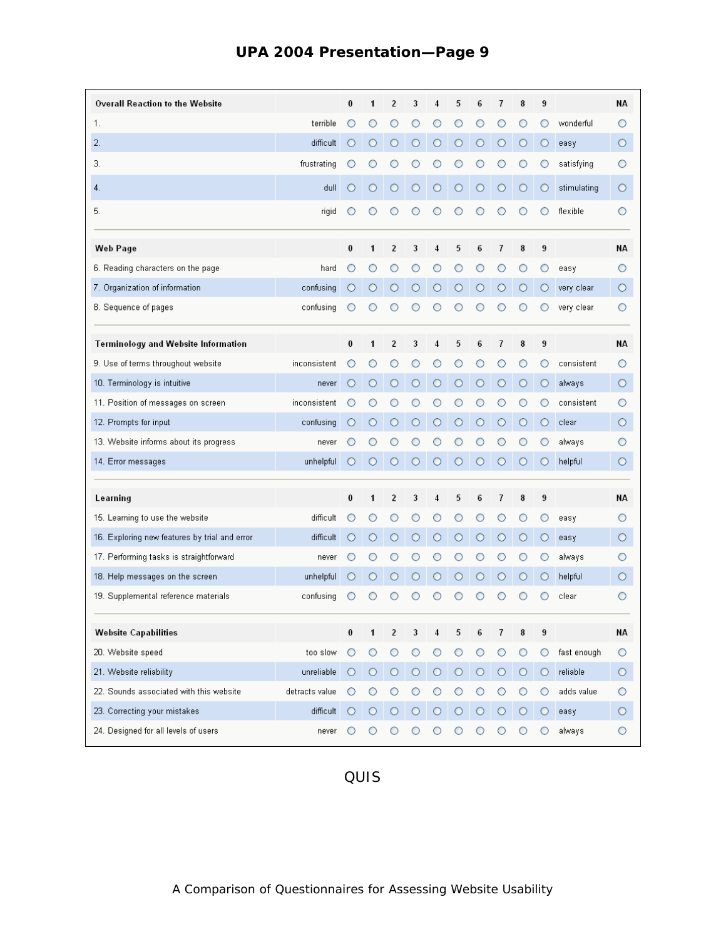| Overall Reaction to the Website               |                | 0        | 1       | 2              | 3       | 4       | 5       | 6       | 7       | 8       | 9       |             | NА      |
|-----------------------------------------------|----------------|----------|---------|----------------|---------|---------|---------|---------|---------|---------|---------|-------------|---------|
| 1.                                            | terrible       | O        | O       | O              | О       |         |         | O       | O       | O       | O       | wonderful   | Ο       |
| 2.                                            | difficult      | O        | $\circ$ | О              | $\circ$ | O       | O       | O       | O       | О       | О       | easy        | О       |
| З.                                            | frustrating    | O        |         |                |         |         |         |         |         |         | O       | satisfying  | О       |
| 4.                                            | dull           | O        | О       | O              | О       | O       | O       | O       |         | O       | О       | stimulating | O       |
| 5.                                            | rigid          | O        | O       |                | O       |         |         |         |         |         | O       | flexible    | O       |
| Web Page                                      |                | 0        | 1       | $\overline{2}$ | 3       | 4       | 5       | 6       | 7       | 8       | 9       |             | NА      |
| 6. Reading characters on the page             | hard           | О        | O       |                | O       |         |         |         |         | O       | О       | easy        | О       |
| 7. Organization of information                | confusing      | Ο        | O       |                | O       |         |         |         |         | O       | О       | very clear  | O       |
| 8. Sequence of pages                          | confusing      |          |         |                |         |         |         |         |         |         |         | very clear  | О       |
| Terminology and Website Information           |                | 0        | 1       | 2              | 3       | 4       | 5       | 6       | 7       | 8       | 9       |             | NА      |
| 9. Use of terms throughout website            | inconsistent   | O        | O       | O              | O       |         |         |         | O       | O       | O       | consistent  | Ο       |
| 10. Terminology is intuitive                  | never          | O        | О       | О              | О       | О       | Ο       | O       | O       | О       | О       | always      | О       |
| 11. Position of messages on screen            | inconsistent   | О        | O       |                | O       |         |         |         |         | O       | O       | consistent  | О       |
| 12. Prompts for input                         | confusing      | O        | $\circ$ | О              | О       | О       | O       | O       | O       | О       | О       | clear       | О       |
| 13. Website informs about its progress        | never          | O        | C       |                |         |         |         |         |         |         | O       | always      | О       |
| 14. Error messages                            | unhelpful      | O        | О       | О              | $\circ$ | О       | О       | О       | O       | O       | Ο       | helpful     | О       |
| Learning                                      |                | $\bf{0}$ | 1       | $\overline{2}$ | 3       | 4       | 5       | 6       | 7       | 8       | 9       |             | NА      |
| 15. Learning to use the website               | difficult      | O        | O       | O              | O       | Ο       |         | O       | O       | O       | O       | easy        | О       |
| 16. Exploring new features by trial and error | difficult      | O        | О       | O              | O       | O       | O       | O       | $\circ$ | O       | О       | easy        | О       |
| 17. Performing tasks is straightforward       | never          | O        |         |                |         |         |         |         |         |         | O       | always      | O       |
| 18. Help messages on the screen               | unhelpful      | O        | О       | O              | О       | О       | O       | O       | O       | О       | О       | helpful     | О       |
| 19. Supplemental reference materials          | confusing      | O        | O       | ◯              | ○       |         |         |         |         | Ω       | ◯       | clear       | О       |
| <b>Website Capabilities</b>                   |                | 0        |         | 2              | 3       |         | 5       |         |         | 8       | 9       |             | NΑ      |
| 20. Website speed                             | too slow       | О        | O       | O              | O       | O       | O       |         | O       | O       | O       | fast enough | $\circ$ |
| 21. Website reliability                       | unreliable     | O        | $\circ$ | $\circ$        | $\circ$ | $\circ$ | $\circ$ | $\circ$ | $\circ$ | $\circ$ | $\circ$ | reliable    | $\circ$ |
| 22. Sounds associated with this website       | detracts value | O        | О       |                |         |         |         |         |         | O       | О       | adds value  | O       |
| 23. Correcting your mistakes                  | difficult      | О        | О       | О              | $\circ$ | $\circ$ | $\circ$ | $\circ$ | O       | О       | О       | easy        | $\circ$ |
| 24. Designed for all levels of users          | never          | O        | O       | O              | O       | O       | O       | O       | O       | O       | O       | always      | $\circ$ |

## **UPA 2004 Presentation—Page 9**

QUIS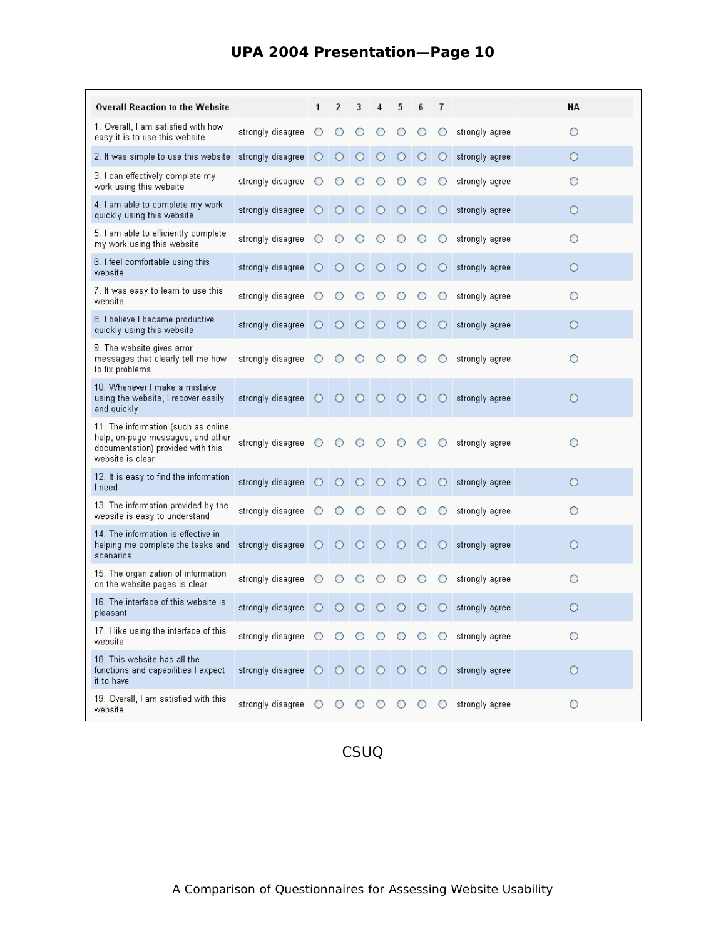| <b>Overall Reaction to the Website</b>                                                                                            |                                                                                                                          | 1       | 2       | 3          | 4       | 5       | 6       | 7       |                                      | NА      |
|-----------------------------------------------------------------------------------------------------------------------------------|--------------------------------------------------------------------------------------------------------------------------|---------|---------|------------|---------|---------|---------|---------|--------------------------------------|---------|
| 1. Overall, I am satisfied with how<br>easy it is to use this website                                                             | strongly disagree                                                                                                        |         |         |            |         |         |         | O       | strongly agree                       | O       |
| 2. It was simple to use this website                                                                                              | strongly disagree                                                                                                        | $\circ$ |         |            |         |         | ◯       | O       | strongly agree                       | Ο       |
| 3. I can effectively complete my<br>work using this website                                                                       | strongly disagree                                                                                                        |         |         |            |         |         |         | O       | strongly agree                       | O       |
| 4. I am able to complete my work<br>quickly using this website                                                                    | strongly disagree                                                                                                        | $\circ$ | $\circ$ | $\circ$    | $\circ$ | $\circ$ | $\circ$ | $\circ$ | strongly agree                       | $\circ$ |
| 5. I am able to efficiently complete<br>my work using this website                                                                | stronaly disagree                                                                                                        |         |         |            |         |         | ◯       | O       | strongly agree                       | O       |
| 6. I feel comfortable using this<br>website                                                                                       | strongly disagree                                                                                                        | О       | $\circ$ | $\circ$    | $\circ$ | $\circ$ | $\circ$ | $\circ$ | strongly agree                       | $\circ$ |
| 7. It was easy to learn to use this<br>website                                                                                    | strongly disagree                                                                                                        |         |         |            |         |         |         | O       | strongly agree                       | O       |
| 8. I believe I became productive<br>quickly using this website                                                                    | strongly disagree                                                                                                        | $\circ$ | $\circ$ | $\circ$    | $\circ$ | $\circ$ | $\circ$ | $\circ$ | strongly agree                       | $\circ$ |
| 9. The website gives error<br>messages that clearly tell me how<br>to fix problems                                                | strongly disagree                                                                                                        |         |         |            |         |         |         | O       | strongly agree                       | О       |
| 10. Whenever I make a mistake<br>using the website, I recover easily<br>and quickly                                               | strongly disagree $\bigcirc$ $\bigcirc$ $\bigcirc$                                                                       |         |         |            | $\circ$ | $\circ$ |         |         | $\bigcirc$ $\bigcirc$ strongly agree | $\circ$ |
| 11. The information (such as online<br>help, on-page messages, and other<br>documentation) provided with this<br>website is clear | strongly disagree                                                                                                        |         | ∩       |            |         | O       |         | O       | strongly agree                       | О       |
| 12. It is easy to find the information<br>I need                                                                                  | strongly disagree                                                                                                        | $\circ$ | $\circ$ | О          | $\circ$ | O       | $\circ$ | $\circ$ | strongly agree                       | $\circ$ |
| 13. The information provided by the<br>website is easy to understand                                                              | strongly disagree                                                                                                        |         |         |            |         |         |         | O       | strongly agree                       | O       |
| 14. The information is effective in<br>helping me complete the tasks and<br>scenarios                                             | strongly disagree                                                                                                        | $\circ$ | $\circ$ | O          | $\circ$ | O       | $\circ$ | $\circ$ | strongly agree                       | $\circ$ |
| 15. The organization of information<br>on the website pages is clear                                                              | strongly disagree                                                                                                        |         |         |            |         |         |         | O       | strongly agree                       | Ο       |
| 16. The interface of this website is<br>pleasant                                                                                  | strongly disagree                                                                                                        | $\circ$ | $\circ$ | $\bigcirc$ |         |         |         | $\circ$ | strongly agree                       | Ο       |
| 17. I like using the interface of this<br>website                                                                                 | strongly disagree $\bigcirc$ $\bigcirc$ $\bigcirc$ $\bigcirc$ $\bigcirc$ $\bigcirc$ $\bigcirc$ $\bigcirc$ strongly agree |         |         |            |         |         |         |         |                                      | О       |
| 18. This website has all the<br>functions and capabilities I expect<br>it to have                                                 | strongly disagree   0   0   0   0   0   0   strongly agree                                                               |         |         |            |         |         |         |         |                                      | $\circ$ |
| 19. Overall, I am satisfied with this<br>website                                                                                  | strongly disagree O                                                                                                      |         | O       | $\circ$    | $\circ$ | O       | O       | O       | strongly agree                       | $\circ$ |

### **UPA 2004 Presentation—Page 10**

CSUQ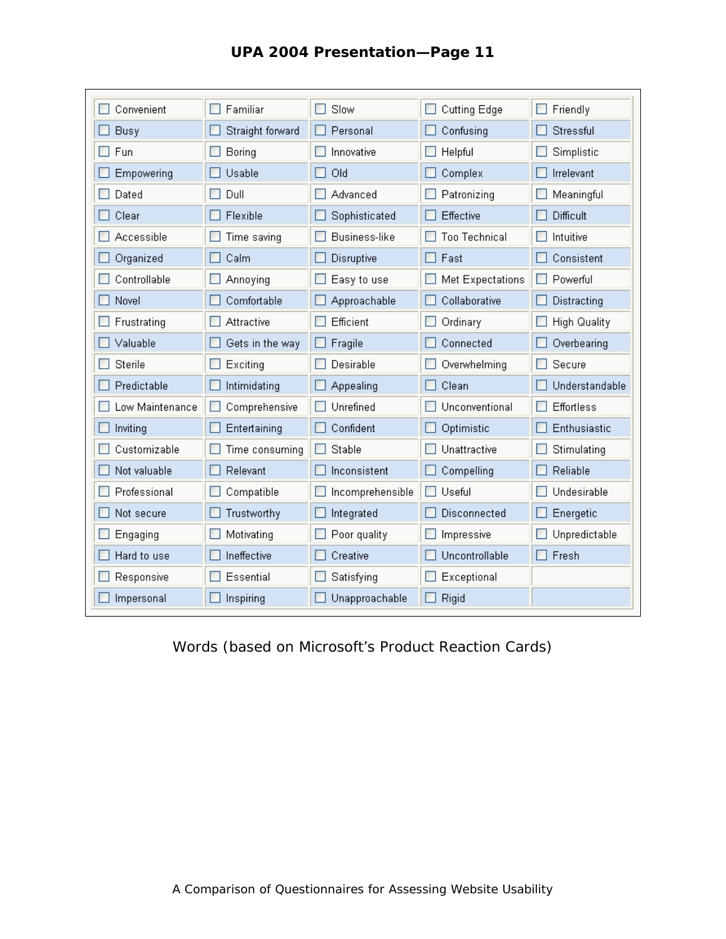| UPA 2004 Presentation-Page 11 |  |
|-------------------------------|--|
|-------------------------------|--|

| Convenient      | Familiar         | Slow                 | Cutting Edge         | Friendly       |
|-----------------|------------------|----------------------|----------------------|----------------|
| Busy            | Straight forward | Personal             | Confusing            | Stressful      |
| Fun             | Boring           | Innovative           | Helpful              | Simplistic     |
| Empowering      | Usable           | Old                  | Complex              | Irrelevant     |
| Dated           | Dull             | Advanced             | Patronizing          | Meaningful     |
| Clear           | Flexible         | Sophisticated        | Effective            | Difficult      |
| Accessible      | Time saving      | <b>Business-like</b> | <b>Too Technical</b> | Intuitive      |
| Organized       | Calm             | Disruptive           | Fast                 | Consistent     |
| Controllable    | Annoying         | Easy to use          | Met Expectations     | Powerful       |
| Novel           | Comfortable      | Approachable         | Collaborative        | Distracting    |
| Frustrating     | Attractive       | Efficient            | Ordinary             | High Quality   |
| Valuable        | Gets in the way  | Fragile              | Connected            | Overbearing    |
| Sterile         | Exciting         | Desirable            | Overwhelming         | Secure         |
| Predictable     | Intimidating     | Appealing            | Clean                | Understandable |
| Low Maintenance | Comprehensive    | Unrefined            | Unconventional       | Effortless     |
| Inviting        | Entertaining     | Confident            | Optimistic           | Enthusiastic   |
| Customizable    | Time consuming   | Stable               | Unattractive         | Stimulating    |
| Not valuable    | Relevant         | Inconsistent         | Compelling           | Reliable       |
| Professional    | Compatible       | Incomprehensible     | Useful               | Undesirable    |
| Not secure      | Trustworthy      | Integrated           | Disconnected         | Energetic      |
| Engaging        | Motivating       | Poor quality         | Impressive           | Unpredictable  |
| Hard to use     | Ineffective      | Creative             | Uncontrollable       | Fresh          |
| Responsive      | Essential        | Satisfying           | Exceptional          |                |
| Impersonal      | Inspiring        | Unapproachable       | Rigid                |                |

Words (based on Microsoft's Product Reaction Cards)